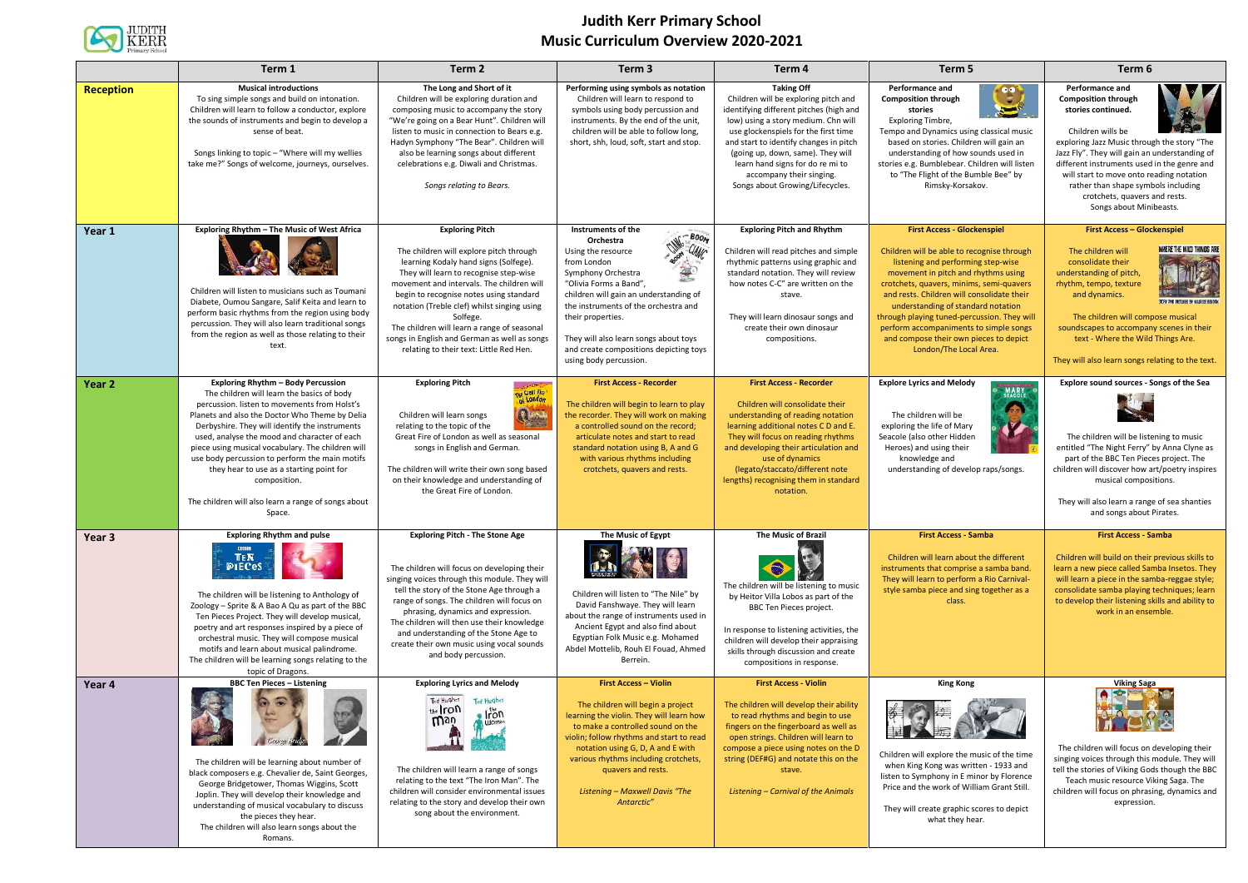

## **Judith Kerr Primary School Music Curriculum Overview 2020-2021**

|                  | Term 1                                                                                                                                                                                                                                                                                                                                                                                                                                                                                                                          | Term 2                                                                                                                                                                                                                                                                                                                                                                                                                                            | Term 3                                                                                                                                                                                                                                                                                                                                                                          | Term 4                                                                                                                                                                                                                                                                                                                                                                | Term 5                                                                                                                                                                                                                                                                                                                                                                                                                                                     | Term 6                                                                                                                                                                                                                                                                                                                                                                                 |
|------------------|---------------------------------------------------------------------------------------------------------------------------------------------------------------------------------------------------------------------------------------------------------------------------------------------------------------------------------------------------------------------------------------------------------------------------------------------------------------------------------------------------------------------------------|---------------------------------------------------------------------------------------------------------------------------------------------------------------------------------------------------------------------------------------------------------------------------------------------------------------------------------------------------------------------------------------------------------------------------------------------------|---------------------------------------------------------------------------------------------------------------------------------------------------------------------------------------------------------------------------------------------------------------------------------------------------------------------------------------------------------------------------------|-----------------------------------------------------------------------------------------------------------------------------------------------------------------------------------------------------------------------------------------------------------------------------------------------------------------------------------------------------------------------|------------------------------------------------------------------------------------------------------------------------------------------------------------------------------------------------------------------------------------------------------------------------------------------------------------------------------------------------------------------------------------------------------------------------------------------------------------|----------------------------------------------------------------------------------------------------------------------------------------------------------------------------------------------------------------------------------------------------------------------------------------------------------------------------------------------------------------------------------------|
| <b>Reception</b> | <b>Musical introductions</b><br>To sing simple songs and build on intonation.<br>Children will learn to follow a conductor, explore<br>the sounds of instruments and begin to develop a<br>sense of beat.<br>Songs linking to topic - "Where will my wellies<br>take me?" Songs of welcome, journeys, ourselves.                                                                                                                                                                                                                | The Long and Short of it<br>Children will be exploring duration and<br>composing music to accompany the story<br>"We're going on a Bear Hunt". Children will<br>listen to music in connection to Bears e.g.<br>Hadyn Symphony "The Bear". Children will<br>also be learning songs about different<br>celebrations e.g. Diwali and Christmas.<br>Songs relating to Bears.                                                                          | Performing using symbols as notation<br>Children will learn to respond to<br>symbols using body percussion and<br>instruments. By the end of the unit,<br>children will be able to follow long,<br>short, shh, loud, soft, start and stop.                                                                                                                                      | <b>Taking Off</b><br>Children will be exploring pitch and<br>identifying different pitches (high and<br>low) using a story medium. Chn will<br>use glockenspiels for the first time<br>and start to identify changes in pitch<br>(going up, down, same). They will<br>learn hand signs for do re mi to<br>accompany their singing.<br>Songs about Growing/Lifecycles. | Performance and<br>$\bullet \bullet$<br><b>Composition through</b><br>$\sum_{i}$<br>stories<br>Exploring Timbre,<br>Tempo and Dynamics using classical music<br>based on stories. Children will gain an<br>understanding of how sounds used in<br>stories e.g. Bumblebear. Children will listen<br>to "The Flight of the Bumble Bee" by<br>Rimsky-Korsakov.                                                                                                | Performance and<br><b>Composition through</b><br>stories continued.<br>Children wills be<br>exploring Jazz Music through the story "The<br>Jazz Fly". They will gain an understanding of<br>different instruments used in the genre and<br>will start to move onto reading notation<br>rather than shape symbols including<br>crotchets, quavers and rests.<br>Songs about Minibeasts. |
| Year 1           | Exploring Rhythm - The Music of West Africa<br>Children will listen to musicians such as Toumani<br>Diabete, Oumou Sangare, Salif Keita and learn to<br>perform basic rhythms from the region using body<br>percussion. They will also learn traditional songs<br>from the region as well as those relating to their<br>text.                                                                                                                                                                                                   | <b>Exploring Pitch</b><br>The children will explore pitch through<br>learning Kodaly hand signs (Solfege).<br>They will learn to recognise step-wise<br>movement and intervals. The children will<br>begin to recognise notes using standard<br>notation (Treble clef) whilst singing using<br>Solfege.<br>The children will learn a range of seasonal<br>songs in English and German as well as songs<br>relating to their text: Little Red Hen. | Instruments of the<br>$R = B00R$<br>Orchestra<br><b>POW CLANC</b><br>Using the resource<br>from London<br>笔<br>Symphony Orchestra<br>"Olivia Forms a Band",<br>children will gain an understanding of<br>the instruments of the orchestra and<br>their properties.<br>They will also learn songs about toys<br>and create compositions depicting toys<br>using body percussion. | <b>Exploring Pitch and Rhythm</b><br>Children will read pitches and simple<br>rhythmic patterns using graphic and<br>standard notation. They will review<br>how notes C-C" are written on the<br>stave.<br>They will learn dinosaur songs and<br>create their own dinosaur<br>compositions.                                                                           | <b>First Access - Glockenspiel</b><br>Children will be able to recognise through<br>listening and performing step-wise<br>movement in pitch and rhythms using<br>crotchets, quavers, minims, semi-quavers<br>and rests. Children will consolidate their<br>understanding of standard notation<br>through playing tuned-percussion. They will<br>perform accompaniments to simple songs<br>and compose their own pieces to depict<br>London/The Local Area. | <b>First Access - Glockenspiel</b><br>WHERE THE WILD THINGS ARE<br>The children will<br>consolidate their<br>understanding of pitch,<br>rhythm, tempo, texture<br>and dynamics.<br>The children will compose musical<br>soundscapes to accompany scenes in their<br>text - Where the Wild Things Are.<br>They will also learn songs relating to the text.                              |
| Year 2           | <b>Exploring Rhythm - Body Percussion</b><br>The children will learn the basics of body<br>percussion. listen to movements from Holst's<br>Planets and also the Doctor Who Theme by Delia<br>Derbyshire. They will identify the instruments<br>used, analyse the mood and character of each<br>piece using musical vocabulary. The children will<br>use body percussion to perform the main motifs<br>they hear to use as a starting point for<br>composition.<br>The children will also learn a range of songs about<br>Space. | <b>Exploring Pitch</b><br>The Great Fire<br>Que<br>Children will learn songs<br>relating to the topic of the<br>Great Fire of London as well as seasonal<br>songs in English and German.<br>The children will write their own song based<br>on their knowledge and understanding of<br>the Great Fire of London.                                                                                                                                  | <b>First Access - Recorder</b><br>The children will begin to learn to play<br>the recorder. They will work on making<br>a controlled sound on the record;<br>articulate notes and start to read<br>standard notation using B, A and G<br>with various rhythms including<br>crotchets, quavers and rests.                                                                        | <b>First Access - Recorder</b><br>Children will consolidate their<br>understanding of reading notation<br>learning additional notes C D and E.<br>They will focus on reading rhythms<br>and developing their articulation and<br>use of dynamics<br>(legato/staccato/different note<br>lengths) recognising them in standard<br>notation.                             | <b>Explore Lyrics and Melody</b><br><b>MARY</b><br>SEACOLE<br>The children will be<br>exploring the life of Mary<br>Seacole (also other Hidden<br>Heroes) and using their<br>knowledge and<br>understanding of develop raps/songs.                                                                                                                                                                                                                         | Explore sound sources - Songs of the Sea<br>The children will be listening to music<br>entitled "The Night Ferry" by Anna Clyne as<br>part of the BBC Ten Pieces project. The<br>children will discover how art/poetry inspires<br>musical compositions.<br>They will also learn a range of sea shanties<br>and songs about Pirates.                                                   |
| Year 3           | <b>Exploring Rhythm and pulse</b><br>TEN<br><b>PIECeS</b><br>The children will be listening to Anthology of<br>Zoology - Sprite & A Bao A Qu as part of the BBC<br>Ten Pieces Project. They will develop musical,<br>poetry and art responses inspired by a piece of<br>orchestral music. They will compose musical<br>motifs and learn about musical palindrome.<br>The children will be learning songs relating to the<br>topic of Dragons.                                                                                   | <b>Exploring Pitch - The Stone Age</b><br>The children will focus on developing their<br>singing voices through this module. They will<br>tell the story of the Stone Age through a<br>range of songs. The children will focus on<br>phrasing, dynamics and expression.<br>The children will then use their knowledge<br>and understanding of the Stone Age to<br>create their own music using vocal sounds<br>and body percussion.               | The Music of Egypt<br>Children will listen to "The Nile" by<br>David Fanshwaye. They will learn<br>about the range of instruments used in<br>Ancient Egypt and also find about<br>Egyptian Folk Music e.g. Mohamed<br>Abdel Mottelib, Rouh El Fouad, Ahmed<br>Berrein.                                                                                                          | <b>The Music of Brazil</b><br>The children will be listening to music<br>by Heitor Villa Lobos as part of the<br>BBC Ten Pieces project.<br>In response to listening activities, the<br>children will develop their appraising<br>skills through discussion and create<br>compositions in response.                                                                   | <b>First Access - Samba</b><br>Children will learn about the different<br>instruments that comprise a samba band.<br>They will learn to perform a Rio Carnival-<br>style samba piece and sing together as a<br>class.                                                                                                                                                                                                                                      | <b>First Access - Samba</b><br>Children will build on their previous skills to<br>learn a new piece called Samba Insetos. They<br>will learn a piece in the samba-reggae style;<br>consolidate samba playing techniques; learn<br>to develop their listening skills and ability to<br>work in an ensemble.                                                                             |
| Year 4           | <b>BBC Ten Pieces - Listening</b><br>The children will be learning about number of<br>black composers e.g. Chevalier de, Saint Georges,<br>George Bridgetower, Thomas Wiggins, Scott<br>Joplin. They will develop their knowledge and<br>understanding of musical vocabulary to discuss<br>the pieces they hear.<br>The children will also learn songs about the<br>Romans.                                                                                                                                                     | <b>Exploring Lyrics and Melody</b><br>Ted Hughes<br><b>Ted Hughes</b><br>the <i>Iron</i><br>$\frac{1}{2}$ $\frac{1}{2}$<br>man<br>The children will learn a range of songs<br>relating to the text "The Iron Man". The<br>children will consider environmental issues<br>relating to the story and develop their own<br>song about the environment.                                                                                               | <b>First Access - Violin</b><br>The children will begin a project<br>learning the violin. They will learn how<br>to make a controlled sound on the<br>violin; follow rhythms and start to read<br>notation using G, D, A and E with<br>various rhythms including crotchets,<br>quavers and rests.<br><b>Listening - Maxwell Davis "The</b><br>Antarctic"                        | <b>First Access - Violin</b><br>The children will develop their ability<br>to read rhythms and begin to use<br>fingers on the fingerboard as well as<br>open strings. Children will learn to<br>compose a piece using notes on the D<br>string (DEF#G) and notate this on the<br>stave.<br><b>Listening - Carnival of the Animals</b>                                 | <b>King Kong</b><br>HIS EQUAL<br>Children will explore the music of the time<br>when King Kong was written - 1933 and<br>listen to Symphony in E minor by Florence<br>Price and the work of William Grant Still.<br>They will create graphic scores to depict<br>what they hear.                                                                                                                                                                           | <b>Viking Saga</b><br>$\blacksquare$<br>The children will focus on developing their<br>singing voices through this module. They will<br>tell the stories of Viking Gods though the BBC<br>Teach music resource Viking Saga. The<br>children will focus on phrasing, dynamics and<br>expression.                                                                                        |